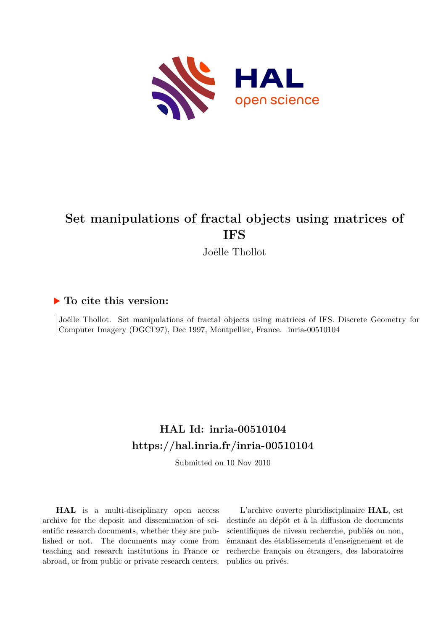

# **Set manipulations of fractal objects using matrices of IFS**

Joëlle Thollot

## **To cite this version:**

Joëlle Thollot. Set manipulations of fractal objects using matrices of IFS. Discrete Geometry for Computer Imagery (DGCI'97), Dec 1997, Montpellier, France. inria-00510104

# **HAL Id: inria-00510104 <https://hal.inria.fr/inria-00510104>**

Submitted on 10 Nov 2010

**HAL** is a multi-disciplinary open access archive for the deposit and dissemination of scientific research documents, whether they are published or not. The documents may come from teaching and research institutions in France or abroad, or from public or private research centers.

L'archive ouverte pluridisciplinaire **HAL**, est destinée au dépôt et à la diffusion de documents scientifiques de niveau recherche, publiés ou non, émanant des établissements d'enseignement et de recherche français ou étrangers, des laboratoires publics ou privés.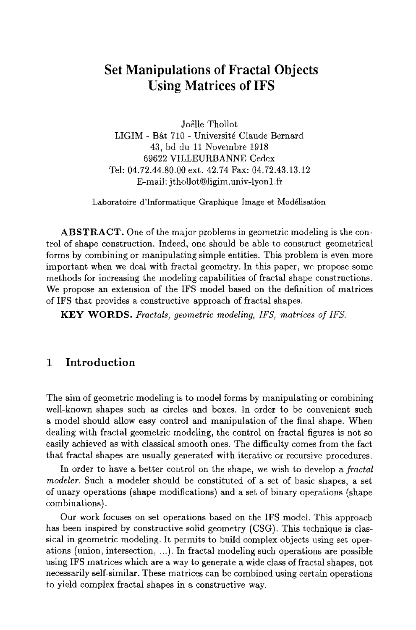## **Set Manipulations of Fractal Objects Using Matrices of IFS**

Joëlle Thollot LIGIM - Bât 710 - Université Claude Bernard 43, bd du 11 Novembre 1918 69622 VILLEURBANNE Cedex Tel: 04.72.44.80.00 ext. 42.74 Fax: 04.72.43.13.12 E-mail: jthollot@ligim.univ-lyonl.fr

Laboratoire d'Informatique Graphique Image et Mod61isation

ABSTRACT. One of the major problems in geometric modeling is the control of shape construction. Indeed, one should be able to construct geometrical forms by combining or manipulating simple entities. This problem is even more important when we deal with fractal geometry. In this paper, we propose some methods for increasing the modeling capabilities of fractal shape constructions. We propose an extension of the IFS model based on the definition of matrices of IFS that provides a constructive approach of fractal shapes.

KEY WORDS. *Fractals, geometric modeling, IFS, matrices of IFS.* 

## 1 Introduction

The aim of geometric modeling is to model forms by manipulating or combining well-known shapes such as circles and boxes. In order to be convenient such a model should allow easy control and manipulation of the final shape. When dealing with fractal geometric modeling, the control on ffactal figures is not so easily achieved as with classical smooth ones. The difficulty comes from the fact that fractal shapes are usually generated with iterative or recursive procedures.

In order to have a better control on the shape, we wish to develop a *fractal modeler.* Such a modeler should be constituted of a set of basic shapes, a set of unary operations (shape modifications) and a set of binary operations (shape combinations).

Our work focuses on set operations based on the IFS model. This approach has been inspired by constructive solid geometry (CSG). This technique is classical in geometric modeling. It permits to build complex objects using set operations (union, intersection, ...). In fractal modeling such operations are possible using IFS matrices which are a way to generate a wide class of fractal shapes, not necessarily self-similar. These matrices can be combined using certain operations to yield complex fractal shapes in a constructive way.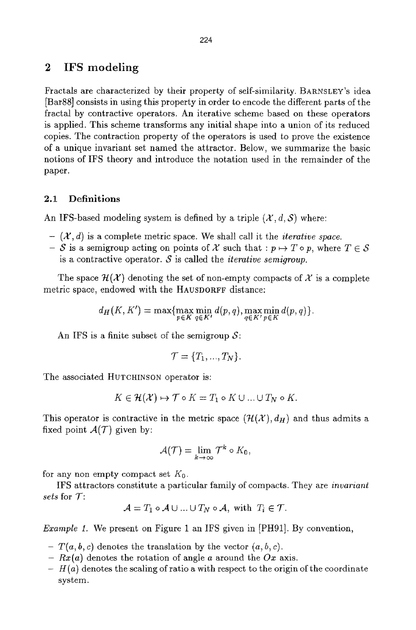## 2 IFS modeling

Fractals are characterized by their property of self-similarity. BARNSLEY's idea [Bar88] consists in using this property in order to encode the different parts of the fractal by contractive operators. An iterative scheme based on these operators is applied. This scheme transforms any initial shape into a union of its reduced copies. The contraction property of the operators is used to prove the existence of a unique invariant set named the attractor. Below, we summarize the basic notions of IFS theory and introduce the notation used in the remainder of the paper.

#### 2.1 Definitions

An IFS-based modeling system is defined by a triple  $(\mathcal{X}, d, \mathcal{S})$  where:

- $(X, d)$  is a complete metric space. We shall call it the *iterative space*.
- $-$  S is a semigroup acting on points of X such that :  $p \mapsto T \circ p$ , where  $T \in S$ is a contractive operator.  $S$  is called the *iterative semigroup*.

The space  $\mathcal{H}(\mathcal{X})$  denoting the set of non-empty compacts of X is a complete metric space, endowed with the HAUSDORFF distance:

$$
d_H(K, K') = \max\{\max_{p \in K} \min_{q \in K'} d(p, q), \max_{q \in K'} \min_{p \in K} d(p, q)\}.
$$

An IFS is a finite subset of the semigroup  $S$ :

$$
\mathcal{T} = \{T_1, ..., T_N\}.
$$

The associated HUTCHINSON operator is:

$$
K \in \mathcal{H}(\mathcal{X}) \mapsto \mathcal{T} \circ K = T_1 \circ K \cup \ldots \cup T_N \circ K.
$$

This operator is contractive in the metric space  $(\mathcal{H}(\mathcal{X}), d_H)$  and thus admits a fixed point  $A(\mathcal{T})$  given by:

$$
\mathcal{A}(\mathcal{T})=\lim_{k\to\infty}\mathcal{T}^k\circ K_0,
$$

for any non empty compact set  $K_0$ .

IFS attractors constitute a particular family of compacts. They are *invariant sets* for T:

$$
\mathcal{A} = T_1 \circ \mathcal{A} \cup ... \cup T_N \circ \mathcal{A}, \text{ with } T_i \in \mathcal{T}.
$$

*Example i.* We present on Figure 1 an IFS given in [PH91]. By convention,

- *T(a, b, c)* denotes the translation by the vector  $(a, b, c)$ .
- *Rx(a)* denotes the rotation of angle a around the *Ox* axis.
- H(a) denotes the scaling of ratio a with respect to the origin of the coordinate system.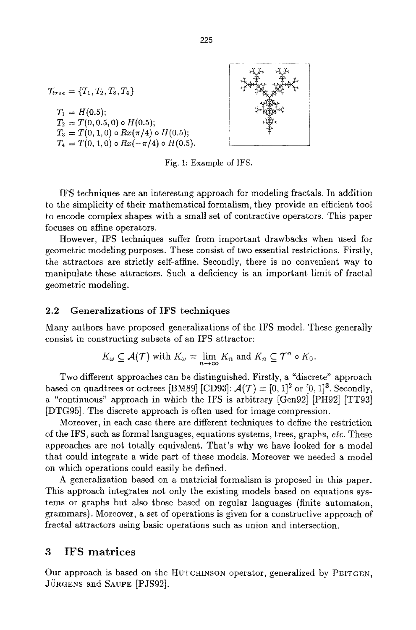$\mathcal{T}_{tree} = \{T_1, T_2, T_3, T_4\}$ 

 $T_1 = H(0.5);$  $T_2 = T(0, 0.5, 0) \circ H(0.5);$  $T_3 = T(0, 1, 0) \circ Rx(\pi/4) \circ H(0.5);$  $T_4 = T(0, 1, 0) \circ Rx(-\pi/4) \circ H(0.5).$ 



Fig. l: Example of IFS.

IFS techniques are an interesting approach for modeling fractals. In addition to the simplicity of their mathematical formalism, they provide an efficient toot to encode complex shapes with a small set of contractive operators. This paper focuses on affine operators.

However, IFS techniques suffer from important drawbacks when used for geometric modeling purposes. These consist of two essential restrictions. Firstly, the attractors are strictly self-affine. Secondly, there is no convenient way to manipulate these attractors. Such a deficiency is an important limit of fractal geometric modeling.

#### 2.2 Generalizations of IFS techniques

Many authors have proposed generalizations of the tFS model. These generally consist in constructing subsets of an IFS attractor:

$$
K_{\omega} \subseteq \mathcal{A}(\mathcal{T}) \text{ with } K_{\omega} = \lim_{n \to \infty} K_n \text{ and } K_n \subseteq \mathcal{T}^n \circ K_0.
$$

Two different approaches can be distinguished. Firstly, a "discrete" approach based on quadtrees or octrees [BM89] [CD93]:  $\mathcal{A}(\mathcal{T}) = [0, 1]^2$  or  $[0, 1]^3$ . Secondly, a "continuous" approach in which the IFS is arbitrary [Gen92] [PH92] [TT93] [DTG95]. The discrete approach is often used for image compression.

Moreover, in each case there are different techniques to define the restriction of the IFS, such as formal languages, equations systems, trees, graphs, *etc.* These approaches are not totally equivalent. That's why we have looked for a model that could integrate a wide part of these models. Moreover we needed a model on which operations could easily be defined.

A generalization based on a matricial formalism is proposed in this paper. This approach integrates not only the existing models based on equations systems or graphs but also those based on regular languages (finite automaton, grammars). Moreover, a set of operations is given for a constructive approach of fractal attractors using basic operations such as union and intersection.

### 3 IFS matrices

Our approach is based on the HUTCHINSON operator, generalized by PEITGEN, JÜRGENS and SAUPE [PJS92].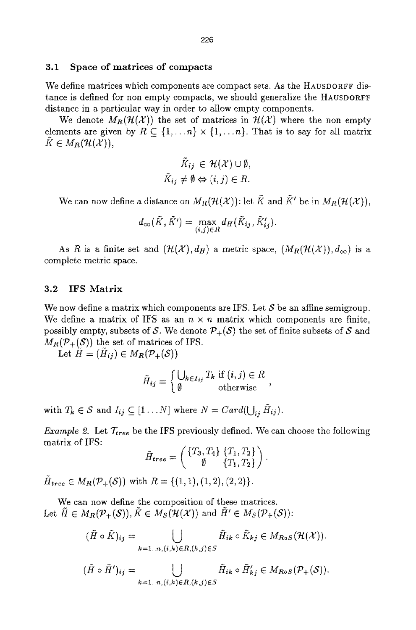#### **3.1 Space of matrices of compacts**

We define matrices which components are compact sets. As the HAUSDORFF distance is defined for non empty compacts, we should generalize the HAUSDORFF distance in a particular way in order to allow empty components.

We denote  $M_R(\mathcal{H}(\mathcal{X}))$  the set of matrices in  $\mathcal{H}(\mathcal{X})$  where the non empty elements are given by  $R \subset \{1,...n\} \times \{1,...n\}$ . That is to say for all matrix  $K \in M_R(\mathcal{H}(\mathcal{X})),$ 

$$
\tilde{K}_{ij} \in \mathcal{H}(\mathcal{X}) \cup \emptyset,
$$
  

$$
\tilde{K}_{ij} \neq \emptyset \Leftrightarrow (i,j) \in R.
$$

We can now define a distance on  $M_R(H(\mathcal{X}))$ : let  $\tilde{K}$  and  $\tilde{K}'$  be in  $M_R(H(\mathcal{X})),$ 

$$
d_{\infty}(\tilde{K},\tilde{K}') = \max_{(i,j)\in R} d_H(\tilde{K}_{ij},\tilde{K}'_{ij}).
$$

As R is a finite set and  $(\mathcal{H}(\mathcal{X}), d_H)$  a metric space,  $(M_R(\mathcal{H}(\mathcal{X})), d_{\infty})$  is a complete metric space.

#### **3.2 IFS Matrix**

We now define a matrix which components are IFS. Let  $S$  be an affine semigroup. We define a matrix of IFS as an  $n \times n$  matrix which components are finite, possibly empty, subsets of S. We denote  $\mathcal{P}_+(\mathcal{S})$  the set of finite subsets of S and  $M_R(\mathcal{P}_+(\mathcal{S}))$  the set of matrices of IFS.

Let  $\tilde{H} = (\tilde{H}_{ij}) \in M_R(\mathcal{P}_+(\mathcal{S}))$ 

$$
\tilde{H}_{ij} = \begin{cases} \bigcup_{k \in I_{ij}} T_k \text{ if } (i,j) \in R \\ \emptyset \text{ otherwise} \end{cases}
$$

with  $T_k \in S$  and  $I_{ij} \subseteq [1 \dots N]$  where  $N = Card(\bigcup_{ij} \tilde{H}_{ij}).$ 

*Example 2.* Let  $\mathcal{T}_{tree}$  be the IFS previously defined. We can choose the following matrix of IFS:

$$
\tilde{H}_{tree} = \begin{pmatrix} \{T_3, T_4\} & \{T_1, T_2\} \\ \emptyset & \{T_1, T_2\} \end{pmatrix}.
$$

 $\tilde{H}_{tree} \in M_R(\mathcal{P}_+(\mathcal{S}))$  with  $R = \{(1, 1), (1, 2), (2, 2)\}.$ 

We can now define the composition of these matrices. Let  $\tilde{H} \in M_R(\mathcal{P}_+(\mathcal{S})), \tilde{K} \in M_S(\mathcal{H}(\mathcal{X}))$  and  $\tilde{H}' \in M_S(\mathcal{P}_+(\mathcal{S}))$ :

$$
(\tilde{H}\circ\tilde{K})_{ij}=\bigcup_{k=1..n,(i,k)\in R,(k,j)\in S}\tilde{H}_{ik}\circ\tilde{K}_{kj}\in M_{R\circ S}(\mathcal{H}(\mathcal{X})).
$$

$$
(\tilde{H}\circ\tilde{H}')_{ij}=\bigcup_{k=1..n,(i,k)\in R,(k,j)\in S}\tilde{H}_{ik}\circ\tilde{H}'_{kj}\in M_{RoS}(\mathcal{P}_+(\mathcal{S})).
$$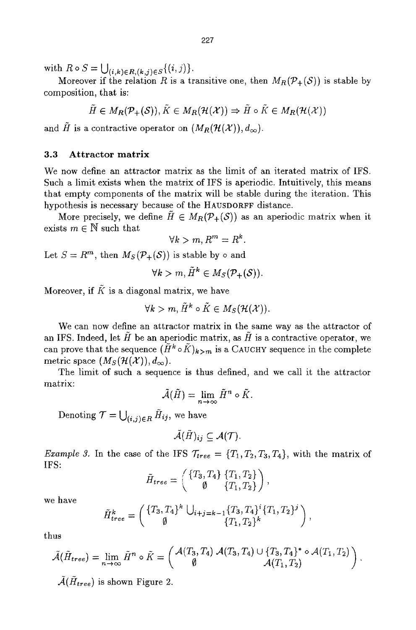with  $R \circ S = \bigcup_{(i,k) \in R, (k,j) \in S} \{(i,j)\}.$ 

Moreover if the relation R is a transitive one, then  $M_R(\mathcal{P}_+(\mathcal{S}))$  is stable by composition, that **is:** 

$$
\tilde{H} \in M_R(\mathcal{P}_+(\mathcal{S})), \tilde{K} \in M_R(\mathcal{H}(\mathcal{X})) \Rightarrow \tilde{H} \circ \tilde{K} \in M_R(\mathcal{H}(\mathcal{X}))
$$

and  $\tilde{H}$  is a contractive operator on  $(M_R(H(\mathcal{X})), d_{\infty}).$ 

#### **3.3 Attractor matrix**

We now define an attractor matrix as the limit of an iterated matrix of IFS. Such a limit exists when the matrix of IFS is aperiodic. Intuitively, this means that empty components of the matrix will be stable during the iteration. This hypothesis is necessary because of the HAUSDORFF distance.

More precisely, we define  $\tilde{H} \in M_R(\mathcal{P}_+(\mathcal{S}))$  as an aperiodic matrix when it exists  $m \in \mathbb{N}$  such that

$$
\forall k > m, R^m = R^k.
$$

Let  $S = R^m$ , then  $M_S(\mathcal{P}_+(\mathcal{S}))$  is stable by  $\circ$  and

$$
\forall k > m, \tilde{H}^k \in M_S(\mathcal{P}_+(\mathcal{S})).
$$

Moreover, if  $K$  is a diagonal matrix, we have

$$
\forall k > m, \, \tilde{H}^k \circ \tilde{K} \in M_S(\mathcal{H}(\mathcal{X})).
$$

We can now define an attractor matrix in the same way as the attractor of an IFS. Indeed, let  $H$  be an aperiodic matrix, as  $H$  is a contractive operator, we can prove that the sequence  $(\tilde{H}^k \circ \tilde{K})_{k>m}$  is a CAUCHY sequence in the complete metric space  $(M_S(\mathcal{H}(\mathcal{X})), d_{\infty}).$ 

The limit of such a sequence is thus defined, and we call it the attractor matrix:

$$
\tilde{\mathcal{A}}(\tilde{H}) = \lim_{n \to \infty} \tilde{H}^n \circ \tilde{K}.
$$

Denoting  $\mathcal{T} = \bigcup_{(i,j)\in R} \tilde{H}_{ij}$ , we have

$$
\tilde{\mathcal{A}}(\tilde{H})_{ij}\subseteq \mathcal{A}(\mathcal{T}).
$$

*Example 3.* In the case of the IFS  $\mathcal{T}_{tree} = \{T_1, T_2, T_3, T_4\}$ , with the matrix of IFS:

$$
\tilde{H}_{tree}=\left(\begin{array}{c}\{T_3,T_4\}&\{T_1,T_2\}\\ \emptyset&\{T_1,T_2\}\end{array}\right),
$$

we have

$$
\tilde{H}_{tree}^k = \begin{pmatrix} \{T_3, T_4\}^k \cup_{i+j=k-1} \{T_3, T_4\}^i \{T_1, T_2\}^j \\ \emptyset & \{T_1, T_2\}^k \end{pmatrix},
$$

thus

$$
\tilde{\mathcal{A}}(\tilde{H}_{tree}) = \lim_{n \to \infty} \tilde{H}^n \circ \tilde{K} = \begin{pmatrix} \mathcal{A}(T_3, T_4) & \mathcal{A}(T_3, T_4) \cup \{T_3, T_4\}^* \circ \mathcal{A}(T_1, T_2) \\ \emptyset & \mathcal{A}(T_1, T_2) \end{pmatrix}.
$$

 $\tilde{A}(\tilde{H}_{tree})$  is shown Figure 2.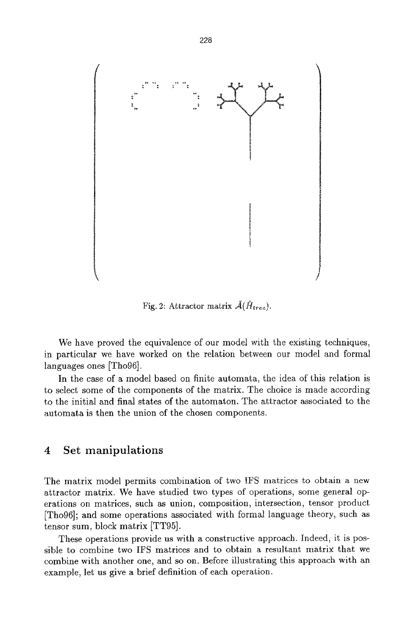

Fig. 2: Attractor matrix  $\tilde{A}(\tilde{H}_{tree}).$ 

We have proved the equivalence of our model with the existing techniques, in particular we have worked on the relation between our model and formal languages ones [Tho96].

In the case of a model based on finite automata, the idea of this relation is to select some of the components of the matrix. The choice is made according to the initial and final states of the automaton. The attractor associated to the automata is then the union of the chosen components.

## 4 Set manipulations

The matrix model permits combination of two IFS matrices to obtain a new attractor matrix. We have studied two types of operations, some general operations on matrices, such as union, composition, intersection, tensor product [Tho96]; and some operations associated with formal language theory, such as tensor sum, block matrix [TT95].

These operations provide us with a constructive approach. Indeed, it is possible to combine two IFS matrices and to obtain a resultant matrix that we combine with another one, and so on. Before illustrating this approach with an example, let us give a brief definition of each operation.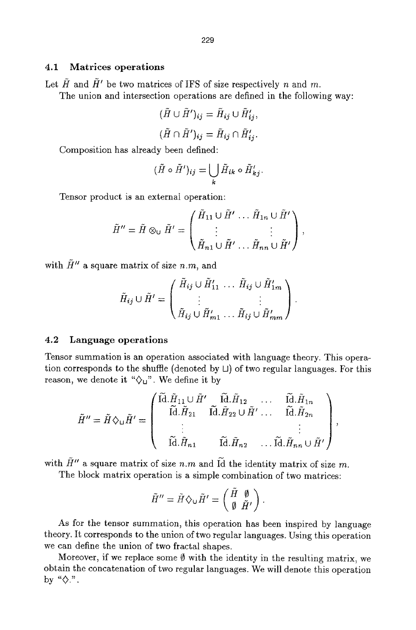#### 4.1 Matrices operations

Let  $\tilde{H}$  and  $\tilde{H}$ <sup>'</sup> be two matrices of IFS of size respectively n and m.

The union and intersection operations are defined in the following way:

$$
(\tilde{H} \cup \tilde{H}')_{ij} = \tilde{H}_{ij} \cup \tilde{H}'_{ij},
$$
  

$$
(\tilde{H} \cap \tilde{H}')_{ij} = \tilde{H}_{ij} \cap \tilde{H}'_{ij}.
$$

Composition has already been defined:

$$
(\tilde{H}\circ\tilde{H}')_{ij}=\bigcup_{k}\tilde{H}_{ik}\circ\tilde{H}'_{kj}.
$$

Tensor product is an external operation:

$$
\tilde{H}'' = \tilde{H} \otimes_{\mathsf{U}} \tilde{H}' = \begin{pmatrix} \tilde{H}_{11} \cup \tilde{H}' & \dots & \tilde{H}_{1n} \cup \tilde{H}' \\ \vdots & & \vdots \\ \tilde{H}_{n1} \cup \tilde{H}' & \dots & \tilde{H}_{nn} \cup \tilde{H}' \end{pmatrix},
$$

with  $\tilde{H}''$  a square matrix of size *n.m.* and

$$
\tilde{H}_{ij} \cup \tilde{H}' = \begin{pmatrix} \tilde{H}_{ij} \cup \tilde{H}'_{11} & \dots & \tilde{H}_{ij} \cup \tilde{H}'_{1m} \\ \vdots & & \vdots \\ \tilde{H}_{ij} \cup \tilde{H}'_{m1} & \dots & \tilde{H}_{ij} \cup \tilde{H}'_{mm} \end{pmatrix}.
$$

#### 4.2 Language operations

Tensor summation is an operation associated with language theory. This operation corresponds to the shuffle (denoted by  $\Box$ ) of two regular languages. For this reason, we denote it  $\sqrt[n]{u}$ . We define it by

$$
\tilde{H}'' = \tilde{H} \diamondsuit_{\mathsf{U}} \tilde{H}' = \begin{pmatrix} \tilde{\mathsf{Id}}. \tilde{H}_{11} \cup \tilde{H}' & \tilde{\mathsf{Id}}. \tilde{H}_{12} & \dots & \tilde{\mathsf{Id}}. \tilde{H}_{1n} \\ \tilde{\mathsf{Id}}. \tilde{H}_{21} & \tilde{\mathsf{Id}}. \tilde{H}_{22} \cup \tilde{H}' \dots & \tilde{\mathsf{Id}}. \tilde{H}_{2n} \\ \vdots & & \vdots \\ \tilde{\mathsf{Id}}. \tilde{H}_{n1} & \tilde{\mathsf{Id}}. \tilde{H}_{n2} & \dots \tilde{\mathsf{Id}}. \tilde{H}_{nn} \cup \tilde{H}' \end{pmatrix},
$$

with  $\tilde{H}''$  a square matrix of size n.m and  $\tilde{Id}$  the identity matrix of size m.

The block matrix operation is a simple combination of two matrices:

$$
\tilde{H}^{\prime\prime} = \tilde{H} \diamondsuit \cup \tilde{H}^{\prime} = \begin{pmatrix} H & \emptyset \\ \emptyset & \tilde{H}^{\prime} \end{pmatrix}.
$$

As for the tensor summation, this operation has been inspired by language theory. It corresponds to the union of two regular languages. Using this operation we can define the union of two fractal shapes.

Moreover, if we replace some  $\emptyset$  with the identity in the resulting matrix, we obtain the concatenation of two regular languages. We will denote this operation *by"{}.".*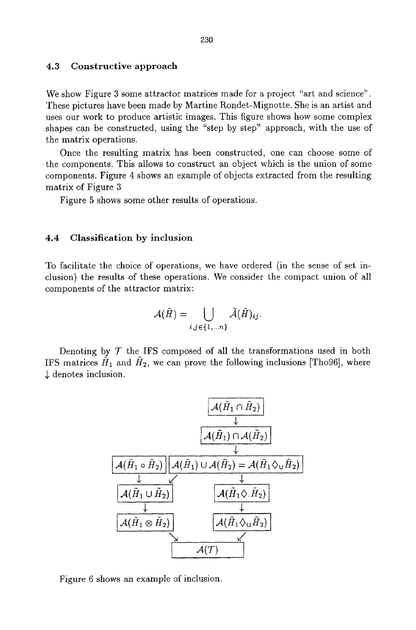#### 4.3 Constructive approach

We show Figure 3 some attractor matrices made for a project "art and science". These pictures have been made by Martine Rondet-Mignotte. She is an artist and uses our work to produce artistic images. This figure shows how some complex shapes can be constructed, using the "step by step" approach, with the use of the matrix operations.

Once the resulting matrix has been constructed, one can choose some of the components. This allows to construct an object which is the union of some components. Figure 4 shows an example of objects extracted from the resulting matrix of Figure 3

Figure 5 shows some other results of operations.

#### 4.4 Classification by inclusion

To facilitate the choice of operations, we have ordered (in the sense of set inclusion) the results of these operations. We consider the compact union of all components of the attractor matrix:

$$
\mathcal{A}(\tilde{H})=\bigcup_{i,j\in\{1,...n\}}\tilde{\mathcal{A}}(\tilde{H})_{ij}.
$$

Denoting by  $T$  the IFS composed of all the transformations used in both IFS matrices  $H_1$  and  $H_2$ , we can prove the following inclusions [Tho96], where  $\downarrow$  denotes inclusion.



Figure 6 shows an example of inclusion.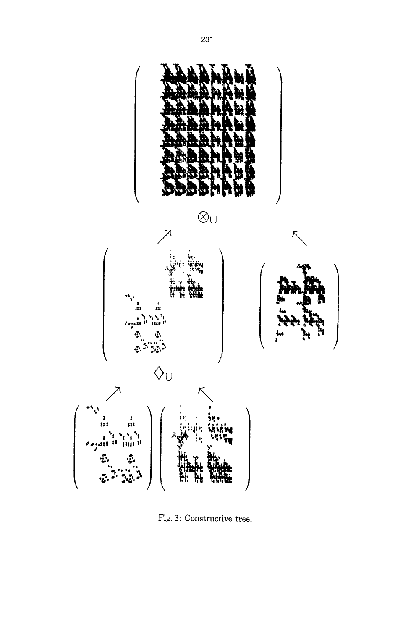

Fig. 3: Constructive tree.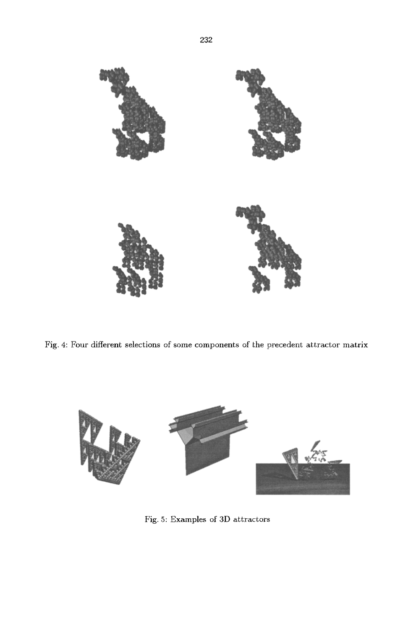

Fig. 4: Four different selections of some components of the precedent attractor matrix



Fig. 5: Examples of 3D attractors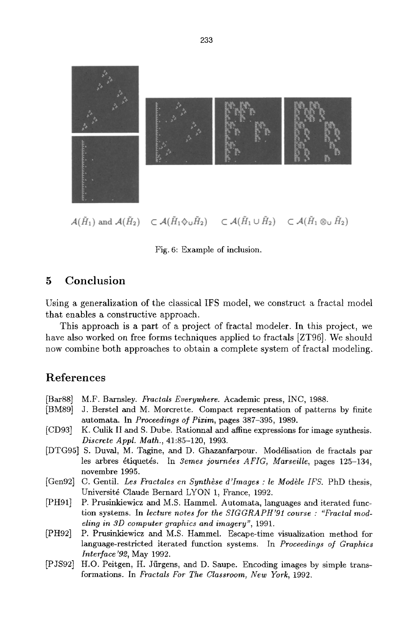

Fig. 6: Example of inclusion.

## **5 Conclusion**

Using a generalization of the classical IFS model, we construct a fractal model that enables a constructive approach.

This approach is a part of a project of fractal modeler. In this project, we have also worked on free forms techniques applied to fractals [ZT96]. We should now combine both approaches to obtain a complete system of fractal modeling.

## **References**

- [Bar88] M.F. Barnsley. *Fractals Everywhere.* Academic press, INC, 1988.
- [BM89] J. Berstel and M. Morcrette. Compact representation of patterns by finite automata. In *Proceedings of Pixim,* pages 387-395, 1989.
- [CD93] K. Culik II and S. Dube. Rationnal and affine expressions for image synthesis. *Discrete AppL Math.,* 41:85-120, 1993.
- [DTG95] S. Duval, M. Tagine, and D. Ghazanfarpour. Modélisation de fractals par les arbres étiquetés. In *3emes journées AFIG, Marseille*, pages 125-134, novembre 1995.
- [Gen92] C. Gentil. *Les Fractales en Synthèse d'Images : le Modèle IFS.* PhD thesis, Universit6 Claude Bernard LYON 1, France, 1992.
- [PH91] P. Prusinkiewicz and M.S. Hammel. Automata, languages and iterated function systems. In *lecture notes for the S[GGRAPH'91 course : "Fractal modeling in 3D computer graphics and imagery",* 1991.
- [PH92] P. Prusinkiewicz and M.S. Hammel. Escape-time visualization method for language-restricted iterated function systems. In *Proceedings of Graphics Interface '92,* May 1992.
- [PJS92] H.O. Peitgen, H. Jürgens, and D. Saupe. Encoding images by simple transformations. In *Fractals For The Classroom, New York,* 1992.